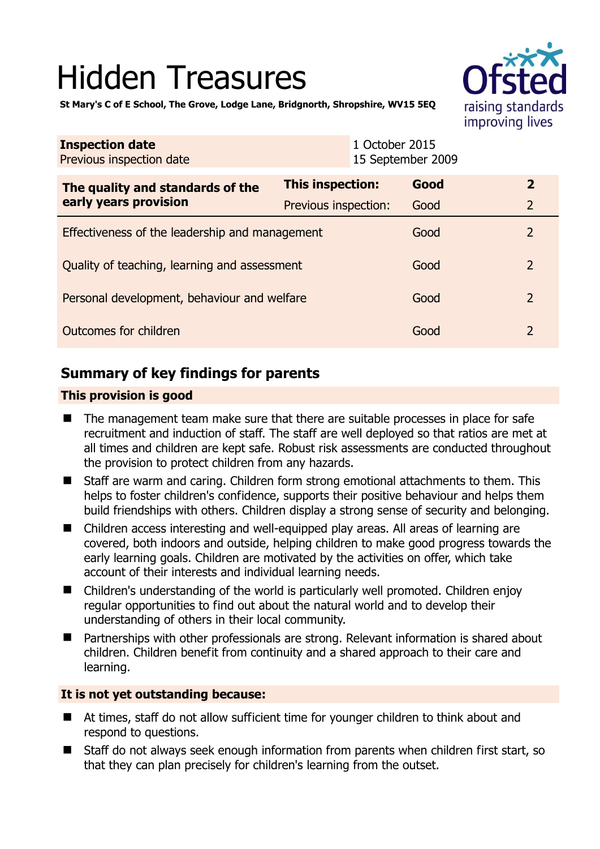# Hidden Treasures



**St Mary's C of E School, The Grove, Lodge Lane, Bridgnorth, Shropshire, WV15 5EQ** 

| <b>Inspection date</b><br>Previous inspection date |                      | 1 October 2015<br>15 September 2009 |      |                |
|----------------------------------------------------|----------------------|-------------------------------------|------|----------------|
| The quality and standards of the                   | This inspection:     |                                     | Good | $\overline{2}$ |
| early years provision                              | Previous inspection: |                                     | Good | $\overline{2}$ |
| Effectiveness of the leadership and management     |                      |                                     | Good | $\mathcal{P}$  |
| Quality of teaching, learning and assessment       |                      |                                     | Good | $\mathcal{P}$  |
| Personal development, behaviour and welfare        |                      |                                     | Good | $\mathcal{P}$  |
| Outcomes for children                              |                      |                                     | Good | $\mathcal{P}$  |

# **Summary of key findings for parents**

## **This provision is good**

- The management team make sure that there are suitable processes in place for safe recruitment and induction of staff. The staff are well deployed so that ratios are met at all times and children are kept safe. Robust risk assessments are conducted throughout the provision to protect children from any hazards.
- Staff are warm and caring. Children form strong emotional attachments to them. This helps to foster children's confidence, supports their positive behaviour and helps them build friendships with others. Children display a strong sense of security and belonging.
- Children access interesting and well-equipped play areas. All areas of learning are covered, both indoors and outside, helping children to make good progress towards the early learning goals. Children are motivated by the activities on offer, which take account of their interests and individual learning needs.
- Children's understanding of the world is particularly well promoted. Children enjoy regular opportunities to find out about the natural world and to develop their understanding of others in their local community.
- Partnerships with other professionals are strong. Relevant information is shared about children. Children benefit from continuity and a shared approach to their care and learning.

## **It is not yet outstanding because:**

- At times, staff do not allow sufficient time for younger children to think about and respond to questions.
- Staff do not always seek enough information from parents when children first start, so that they can plan precisely for children's learning from the outset.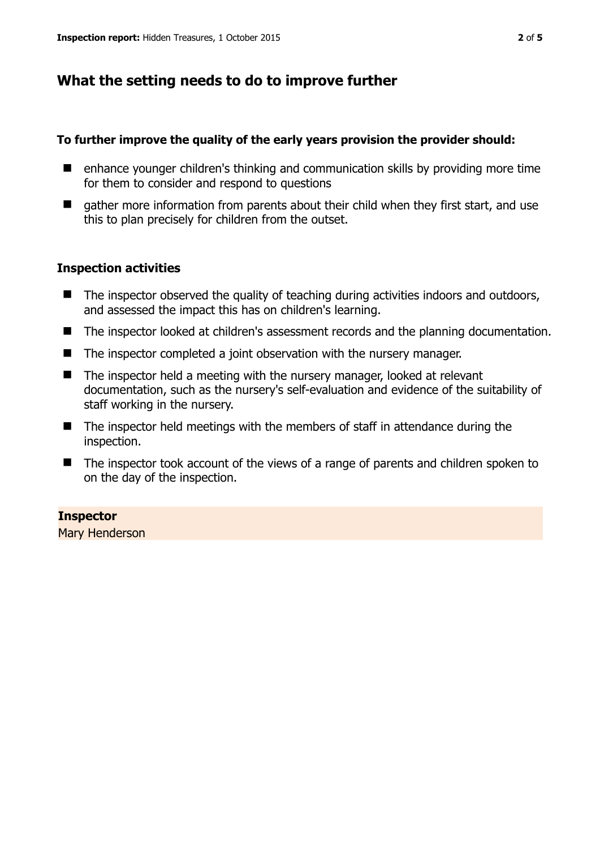# **What the setting needs to do to improve further**

#### **To further improve the quality of the early years provision the provider should:**

- enhance younger children's thinking and communication skills by providing more time for them to consider and respond to questions
- $\Box$  gather more information from parents about their child when they first start, and use this to plan precisely for children from the outset.

### **Inspection activities**

- $\blacksquare$  The inspector observed the quality of teaching during activities indoors and outdoors, and assessed the impact this has on children's learning.
- The inspector looked at children's assessment records and the planning documentation.
- The inspector completed a joint observation with the nursery manager.
- The inspector held a meeting with the nursery manager, looked at relevant documentation, such as the nursery's self-evaluation and evidence of the suitability of staff working in the nursery.
- $\blacksquare$  The inspector held meetings with the members of staff in attendance during the inspection.
- The inspector took account of the views of a range of parents and children spoken to on the day of the inspection.

#### **Inspector**

Mary Henderson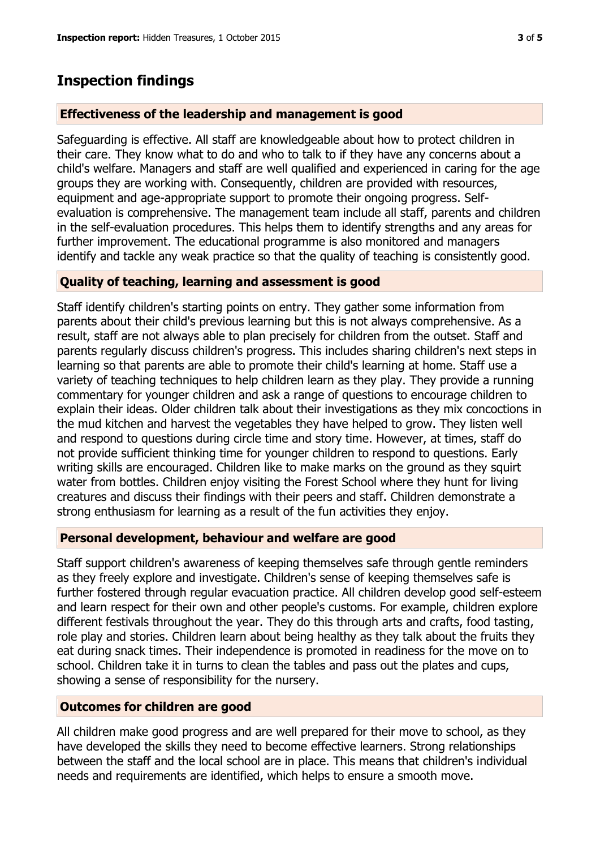# **Inspection findings**

#### **Effectiveness of the leadership and management is good**

Safeguarding is effective. All staff are knowledgeable about how to protect children in their care. They know what to do and who to talk to if they have any concerns about a child's welfare. Managers and staff are well qualified and experienced in caring for the age groups they are working with. Consequently, children are provided with resources, equipment and age-appropriate support to promote their ongoing progress. Selfevaluation is comprehensive. The management team include all staff, parents and children in the self-evaluation procedures. This helps them to identify strengths and any areas for further improvement. The educational programme is also monitored and managers identify and tackle any weak practice so that the quality of teaching is consistently good.

#### **Quality of teaching, learning and assessment is good**

Staff identify children's starting points on entry. They gather some information from parents about their child's previous learning but this is not always comprehensive. As a result, staff are not always able to plan precisely for children from the outset. Staff and parents regularly discuss children's progress. This includes sharing children's next steps in learning so that parents are able to promote their child's learning at home. Staff use a variety of teaching techniques to help children learn as they play. They provide a running commentary for younger children and ask a range of questions to encourage children to explain their ideas. Older children talk about their investigations as they mix concoctions in the mud kitchen and harvest the vegetables they have helped to grow. They listen well and respond to questions during circle time and story time. However, at times, staff do not provide sufficient thinking time for younger children to respond to questions. Early writing skills are encouraged. Children like to make marks on the ground as they squirt water from bottles. Children enjoy visiting the Forest School where they hunt for living creatures and discuss their findings with their peers and staff. Children demonstrate a strong enthusiasm for learning as a result of the fun activities they enjoy.

#### **Personal development, behaviour and welfare are good**

Staff support children's awareness of keeping themselves safe through gentle reminders as they freely explore and investigate. Children's sense of keeping themselves safe is further fostered through regular evacuation practice. All children develop good self-esteem and learn respect for their own and other people's customs. For example, children explore different festivals throughout the year. They do this through arts and crafts, food tasting, role play and stories. Children learn about being healthy as they talk about the fruits they eat during snack times. Their independence is promoted in readiness for the move on to school. Children take it in turns to clean the tables and pass out the plates and cups, showing a sense of responsibility for the nursery.

## **Outcomes for children are good**

All children make good progress and are well prepared for their move to school, as they have developed the skills they need to become effective learners. Strong relationships between the staff and the local school are in place. This means that children's individual needs and requirements are identified, which helps to ensure a smooth move.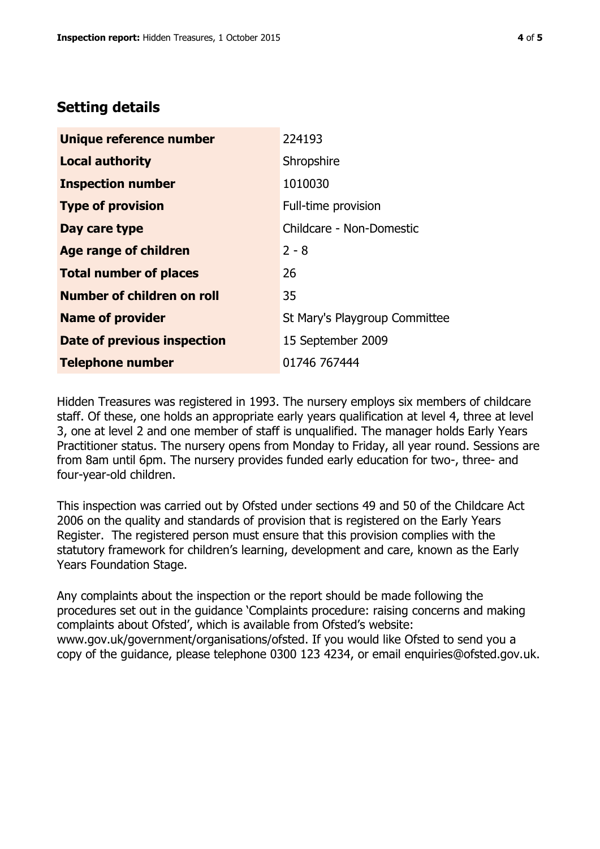## **Setting details**

| Unique reference number       | 224193                        |  |
|-------------------------------|-------------------------------|--|
| <b>Local authority</b>        | Shropshire                    |  |
| <b>Inspection number</b>      | 1010030                       |  |
| <b>Type of provision</b>      | Full-time provision           |  |
| Day care type                 | Childcare - Non-Domestic      |  |
| <b>Age range of children</b>  | $2 - 8$                       |  |
| <b>Total number of places</b> | 26                            |  |
| Number of children on roll    | 35                            |  |
| <b>Name of provider</b>       | St Mary's Playgroup Committee |  |
| Date of previous inspection   | 15 September 2009             |  |
| <b>Telephone number</b>       | 01746 767444                  |  |

Hidden Treasures was registered in 1993. The nursery employs six members of childcare staff. Of these, one holds an appropriate early years qualification at level 4, three at level 3, one at level 2 and one member of staff is unqualified. The manager holds Early Years Practitioner status. The nursery opens from Monday to Friday, all year round. Sessions are from 8am until 6pm. The nursery provides funded early education for two-, three- and four-year-old children.

This inspection was carried out by Ofsted under sections 49 and 50 of the Childcare Act 2006 on the quality and standards of provision that is registered on the Early Years Register. The registered person must ensure that this provision complies with the statutory framework for children's learning, development and care, known as the Early Years Foundation Stage.

Any complaints about the inspection or the report should be made following the procedures set out in the guidance 'Complaints procedure: raising concerns and making complaints about Ofsted', which is available from Ofsted's website: www.gov.uk/government/organisations/ofsted. If you would like Ofsted to send you a copy of the guidance, please telephone 0300 123 4234, or email enquiries@ofsted.gov.uk.